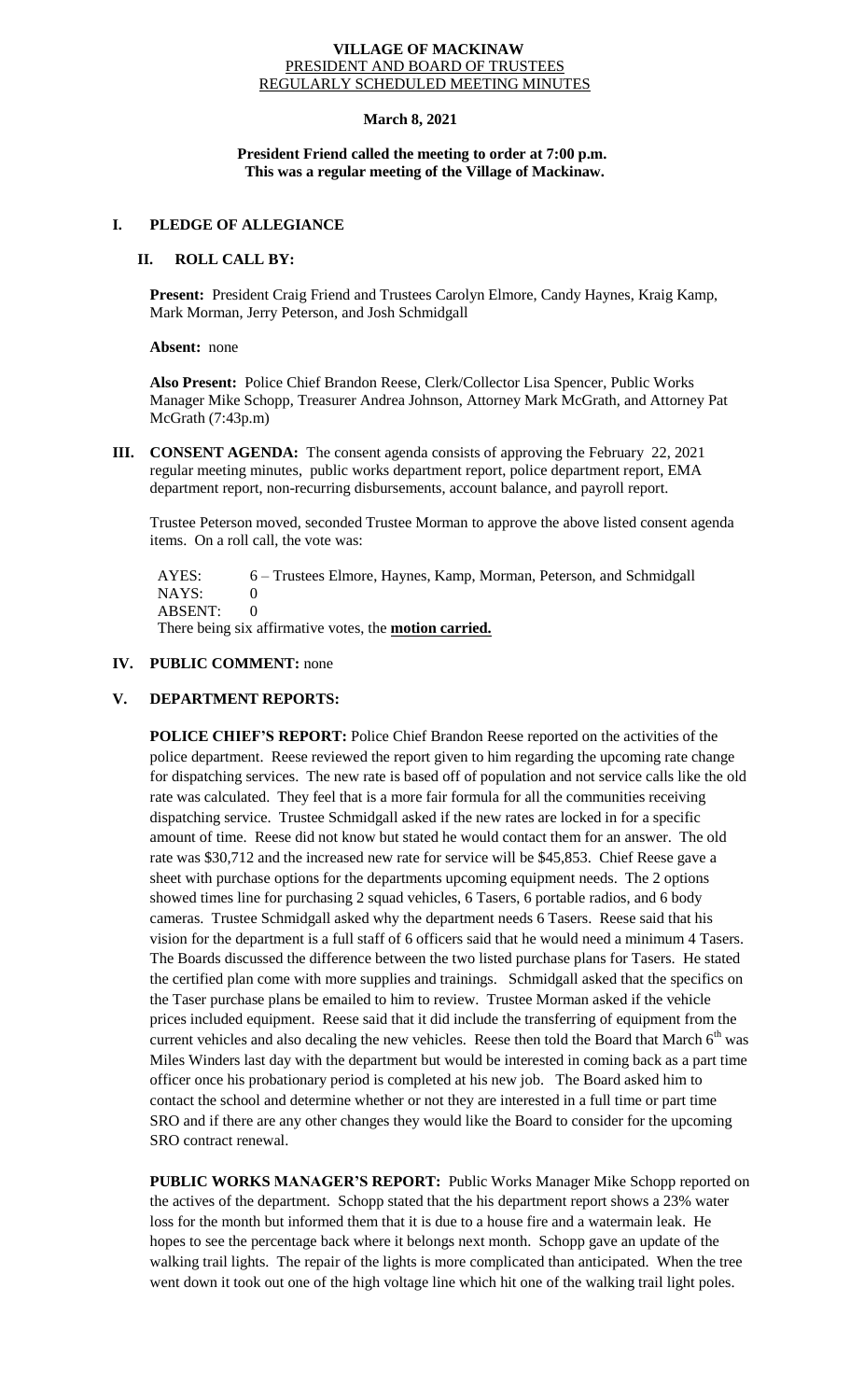#### **VILLAGE OF MACKINAW** PRESIDENT AND BOARD OF TRUSTEES REGULARLY SCHEDULED MEETING MINUTES

# **March 8, 2021**

# **President Friend called the meeting to order at 7:00 p.m. This was a regular meeting of the Village of Mackinaw.**

#### **I. PLEDGE OF ALLEGIANCE**

# **II. ROLL CALL BY:**

**Present:** President Craig Friend and Trustees Carolyn Elmore, Candy Haynes, Kraig Kamp, Mark Morman, Jerry Peterson, and Josh Schmidgall

**Absent:** none

**Also Present:** Police Chief Brandon Reese, Clerk/Collector Lisa Spencer, Public Works Manager Mike Schopp, Treasurer Andrea Johnson, Attorney Mark McGrath, and Attorney Pat McGrath (7:43p.m)

**III. CONSENT AGENDA:** The consent agenda consists of approving the February 22, 2021 regular meeting minutes, public works department report, police department report, EMA department report, non-recurring disbursements, account balance, and payroll report.

Trustee Peterson moved, seconded Trustee Morman to approve the above listed consent agenda items. On a roll call, the vote was:

 AYES: 6 – Trustees Elmore, Haynes, Kamp, Morman, Peterson, and Schmidgall NAYS: 0 ABSENT: 0

There being six affirmative votes, the **motion carried.**

### **IV. PUBLIC COMMENT:** none

#### **V. DEPARTMENT REPORTS:**

**POLICE CHIEF'S REPORT:** Police Chief Brandon Reese reported on the activities of the police department. Reese reviewed the report given to him regarding the upcoming rate change for dispatching services. The new rate is based off of population and not service calls like the old rate was calculated. They feel that is a more fair formula for all the communities receiving dispatching service. Trustee Schmidgall asked if the new rates are locked in for a specific amount of time. Reese did not know but stated he would contact them for an answer. The old rate was \$30,712 and the increased new rate for service will be \$45,853. Chief Reese gave a sheet with purchase options for the departments upcoming equipment needs. The 2 options showed times line for purchasing 2 squad vehicles, 6 Tasers, 6 portable radios, and 6 body cameras. Trustee Schmidgall asked why the department needs 6 Tasers. Reese said that his vision for the department is a full staff of 6 officers said that he would need a minimum 4 Tasers. The Boards discussed the difference between the two listed purchase plans for Tasers. He stated the certified plan come with more supplies and trainings. Schmidgall asked that the specifics on the Taser purchase plans be emailed to him to review. Trustee Morman asked if the vehicle prices included equipment. Reese said that it did include the transferring of equipment from the current vehicles and also decaling the new vehicles. Reese then told the Board that March 6<sup>th</sup> was Miles Winders last day with the department but would be interested in coming back as a part time officer once his probationary period is completed at his new job. The Board asked him to contact the school and determine whether or not they are interested in a full time or part time SRO and if there are any other changes they would like the Board to consider for the upcoming SRO contract renewal.

**PUBLIC WORKS MANAGER'S REPORT:** Public Works Manager Mike Schopp reported on the actives of the department. Schopp stated that the his department report shows a 23% water loss for the month but informed them that it is due to a house fire and a watermain leak. He hopes to see the percentage back where it belongs next month. Schopp gave an update of the walking trail lights. The repair of the lights is more complicated than anticipated. When the tree went down it took out one of the high voltage line which hit one of the walking trail light poles.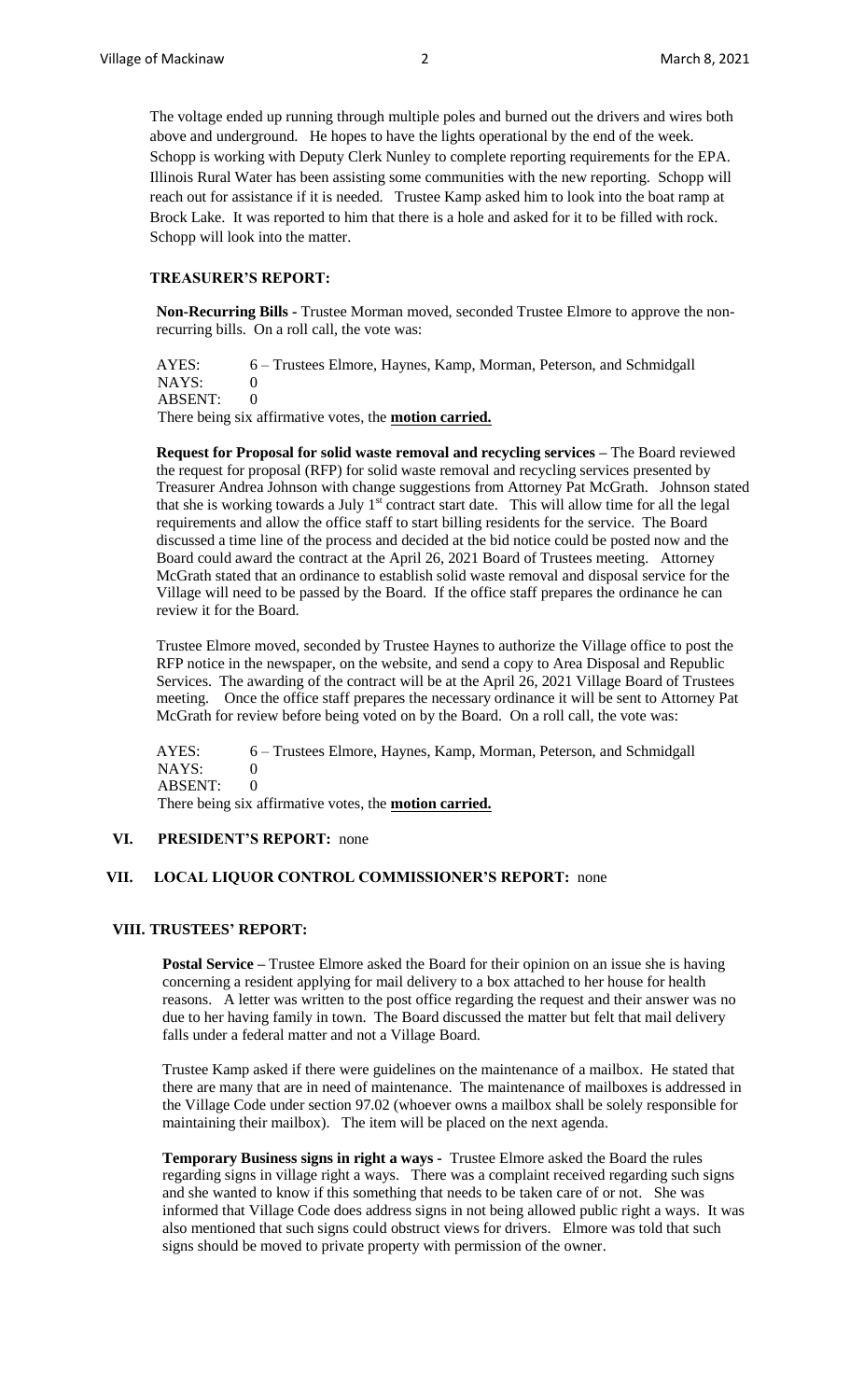The voltage ended up running through multiple poles and burned out the drivers and wires both above and underground. He hopes to have the lights operational by the end of the week. Schopp is working with Deputy Clerk Nunley to complete reporting requirements for the EPA. Illinois Rural Water has been assisting some communities with the new reporting. Schopp will reach out for assistance if it is needed. Trustee Kamp asked him to look into the boat ramp at Brock Lake. It was reported to him that there is a hole and asked for it to be filled with rock. Schopp will look into the matter.

# **TREASURER'S REPORT:**

**Non-Recurring Bills -** Trustee Morman moved, seconded Trustee Elmore to approve the nonrecurring bills. On a roll call, the vote was:

AYES: 6 – Trustees Elmore, Haynes, Kamp, Morman, Peterson, and Schmidgall NAYS: 0 ABSENT: 0

There being six affirmative votes, the **motion carried.**

**Request for Proposal for solid waste removal and recycling services –** The Board reviewed the request for proposal (RFP) for solid waste removal and recycling services presented by Treasurer Andrea Johnson with change suggestions from Attorney Pat McGrath. Johnson stated that she is working towards a July 1<sup>st</sup> contract start date. This will allow time for all the legal requirements and allow the office staff to start billing residents for the service. The Board discussed a time line of the process and decided at the bid notice could be posted now and the Board could award the contract at the April 26, 2021 Board of Trustees meeting. Attorney McGrath stated that an ordinance to establish solid waste removal and disposal service for the Village will need to be passed by the Board. If the office staff prepares the ordinance he can review it for the Board.

Trustee Elmore moved, seconded by Trustee Haynes to authorize the Village office to post the RFP notice in the newspaper, on the website, and send a copy to Area Disposal and Republic Services. The awarding of the contract will be at the April 26, 2021 Village Board of Trustees meeting. Once the office staff prepares the necessary ordinance it will be sent to Attorney Pat McGrath for review before being voted on by the Board. On a roll call, the vote was:

AYES: 6 – Trustees Elmore, Haynes, Kamp, Morman, Peterson, and Schmidgall NAYS: 0 ABSENT: 0

There being six affirmative votes, the **motion carried.**

# **VI. PRESIDENT'S REPORT:** none

## **VII. LOCAL LIQUOR CONTROL COMMISSIONER'S REPORT:** none

# **VIII. TRUSTEES' REPORT:**

**Postal Service –** Trustee Elmore asked the Board for their opinion on an issue she is having concerning a resident applying for mail delivery to a box attached to her house for health reasons. A letter was written to the post office regarding the request and their answer was no due to her having family in town. The Board discussed the matter but felt that mail delivery falls under a federal matter and not a Village Board.

Trustee Kamp asked if there were guidelines on the maintenance of a mailbox. He stated that there are many that are in need of maintenance. The maintenance of mailboxes is addressed in the Village Code under section 97.02 (whoever owns a mailbox shall be solely responsible for maintaining their mailbox). The item will be placed on the next agenda.

**Temporary Business signs in right a ways -** Trustee Elmore asked the Board the rules regarding signs in village right a ways. There was a complaint received regarding such signs and she wanted to know if this something that needs to be taken care of or not. She was informed that Village Code does address signs in not being allowed public right a ways. It was also mentioned that such signs could obstruct views for drivers. Elmore was told that such signs should be moved to private property with permission of the owner.